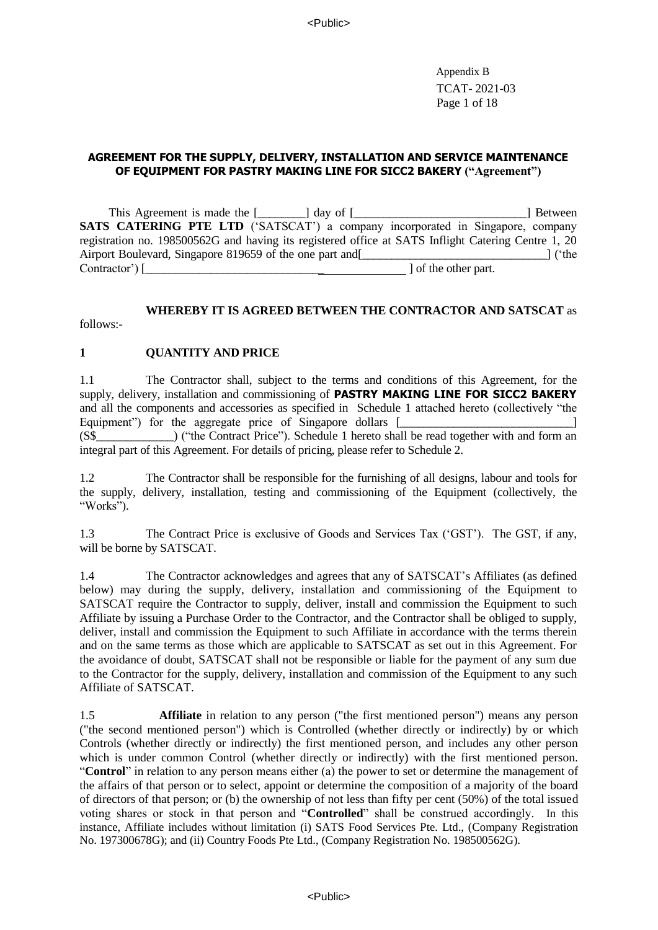Appendix B TCAT- 2021-03 Page 1 of 18

#### **AGREEMENT FOR THE SUPPLY, DELIVERY, INSTALLATION AND SERVICE MAINTENANCE OF EQUIPMENT FOR PASTRY MAKING LINE FOR SICC2 BAKERY ("Agreement")**

This Agreement is made the [\_\_\_\_\_\_\_\_] day of [\_\_\_\_\_\_\_\_\_\_\_\_\_\_\_\_\_\_\_\_\_\_\_\_\_\_\_] Between **SATS CATERING PTE LTD** ('SATSCAT') a company incorporated in Singapore, company registration no. 198500562G and having its registered office at SATS Inflight Catering Centre 1, 20 Airport Boulevard, Singapore 819659 of the one part and[\_\_\_\_\_\_\_\_\_\_\_\_\_\_\_\_\_\_\_\_\_\_\_\_\_\_\_\_\_\_\_] ('the Contractor')  $\lceil$ 

### **WHEREBY IT IS AGREED BETWEEN THE CONTRACTOR AND SATSCAT** as

follows:-

#### **1 QUANTITY AND PRICE**

1.1 The Contractor shall, subject to the terms and conditions of this Agreement, for the supply, delivery, installation and commissioning of **PASTRY MAKING LINE FOR SICC2 BAKERY** and all the components and accessories as specified in Schedule 1 attached hereto (collectively "the Equipment") for the aggregate price of Singapore dollars [\_\_\_\_\_\_\_\_\_\_\_\_\_\_\_\_\_\_\_\_\_\_\_ (S\$\_\_\_\_\_\_\_\_\_\_\_\_\_) ("the Contract Price"). Schedule 1 hereto shall be read together with and form an integral part of this Agreement. For details of pricing, please refer to Schedule 2.

1.2 The Contractor shall be responsible for the furnishing of all designs, labour and tools for the supply, delivery, installation, testing and commissioning of the Equipment (collectively, the "Works").

1.3 The Contract Price is exclusive of Goods and Services Tax ('GST'). The GST, if any, will be borne by SATSCAT.

1.4 The Contractor acknowledges and agrees that any of SATSCAT's Affiliates (as defined below) may during the supply, delivery, installation and commissioning of the Equipment to SATSCAT require the Contractor to supply, deliver, install and commission the Equipment to such Affiliate by issuing a Purchase Order to the Contractor, and the Contractor shall be obliged to supply, deliver, install and commission the Equipment to such Affiliate in accordance with the terms therein and on the same terms as those which are applicable to SATSCAT as set out in this Agreement. For the avoidance of doubt, SATSCAT shall not be responsible or liable for the payment of any sum due to the Contractor for the supply, delivery, installation and commission of the Equipment to any such Affiliate of SATSCAT.

1.5 **Affiliate** in relation to any person ("the first mentioned person") means any person ("the second mentioned person") which is Controlled (whether directly or indirectly) by or which Controls (whether directly or indirectly) the first mentioned person, and includes any other person which is under common Control (whether directly or indirectly) with the first mentioned person. "**Control**" in relation to any person means either (a) the power to set or determine the management of the affairs of that person or to select, appoint or determine the composition of a majority of the board of directors of that person; or (b) the ownership of not less than fifty per cent (50%) of the total issued voting shares or stock in that person and "**Controlled**" shall be construed accordingly. In this instance, Affiliate includes without limitation (i) SATS Food Services Pte. Ltd., (Company Registration No. 197300678G); and (ii) Country Foods Pte Ltd., (Company Registration No. 198500562G).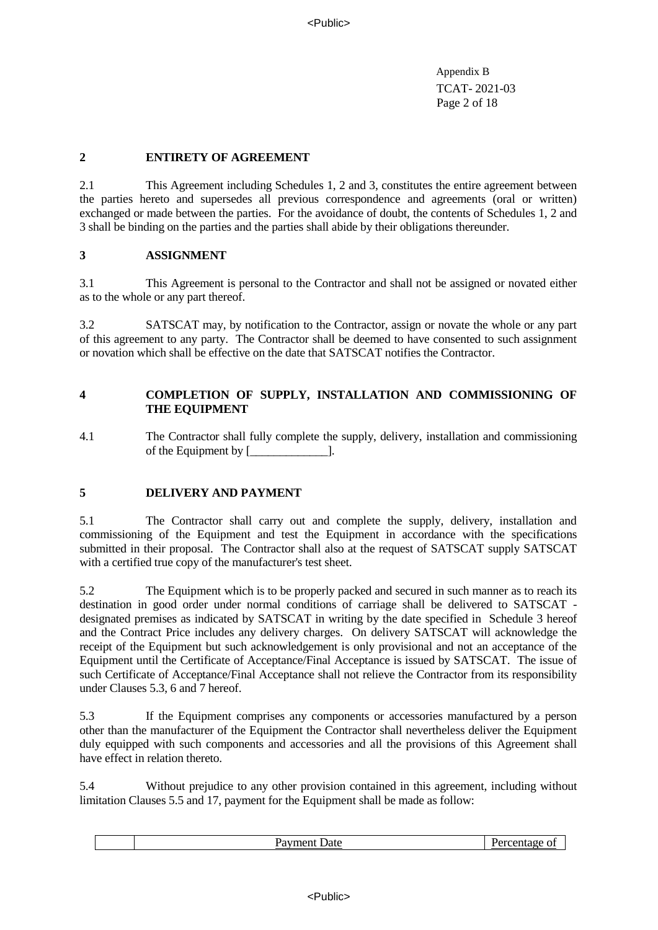Appendix B TCAT- 2021-03 Page 2 of 18

## **2 ENTIRETY OF AGREEMENT**

2.1 This Agreement including Schedules 1, 2 and 3, constitutes the entire agreement between the parties hereto and supersedes all previous correspondence and agreements (oral or written) exchanged or made between the parties. For the avoidance of doubt, the contents of Schedules 1, 2 and 3 shall be binding on the parties and the parties shall abide by their obligations thereunder.

### **3 ASSIGNMENT**

3.1 This Agreement is personal to the Contractor and shall not be assigned or novated either as to the whole or any part thereof.

3.2 SATSCAT may, by notification to the Contractor, assign or novate the whole or any part of this agreement to any party. The Contractor shall be deemed to have consented to such assignment or novation which shall be effective on the date that SATSCAT notifies the Contractor.

## **4 COMPLETION OF SUPPLY, INSTALLATION AND COMMISSIONING OF THE EQUIPMENT**

4.1 The Contractor shall fully complete the supply, delivery, installation and commissioning of the Equipment by [\_\_\_\_\_\_\_\_\_\_\_\_\_].

# **5 DELIVERY AND PAYMENT**

5.1 The Contractor shall carry out and complete the supply, delivery, installation and commissioning of the Equipment and test the Equipment in accordance with the specifications submitted in their proposal. The Contractor shall also at the request of SATSCAT supply SATSCAT with a certified true copy of the manufacturer's test sheet.

5.2 The Equipment which is to be properly packed and secured in such manner as to reach its destination in good order under normal conditions of carriage shall be delivered to SATSCAT designated premises as indicated by SATSCAT in writing by the date specified in Schedule 3 hereof and the Contract Price includes any delivery charges. On delivery SATSCAT will acknowledge the receipt of the Equipment but such acknowledgement is only provisional and not an acceptance of the Equipment until the Certificate of Acceptance/Final Acceptance is issued by SATSCAT. The issue of such Certificate of Acceptance/Final Acceptance shall not relieve the Contractor from its responsibility under Clauses 5.3, 6 and 7 hereof.

5.3 If the Equipment comprises any components or accessories manufactured by a person other than the manufacturer of the Equipment the Contractor shall nevertheless deliver the Equipment duly equipped with such components and accessories and all the provisions of this Agreement shall have effect in relation thereto.

5.4 Without prejudice to any other provision contained in this agreement, including without limitation Clauses 5.5 and 17, payment for the Equipment shall be made as follow:

|--|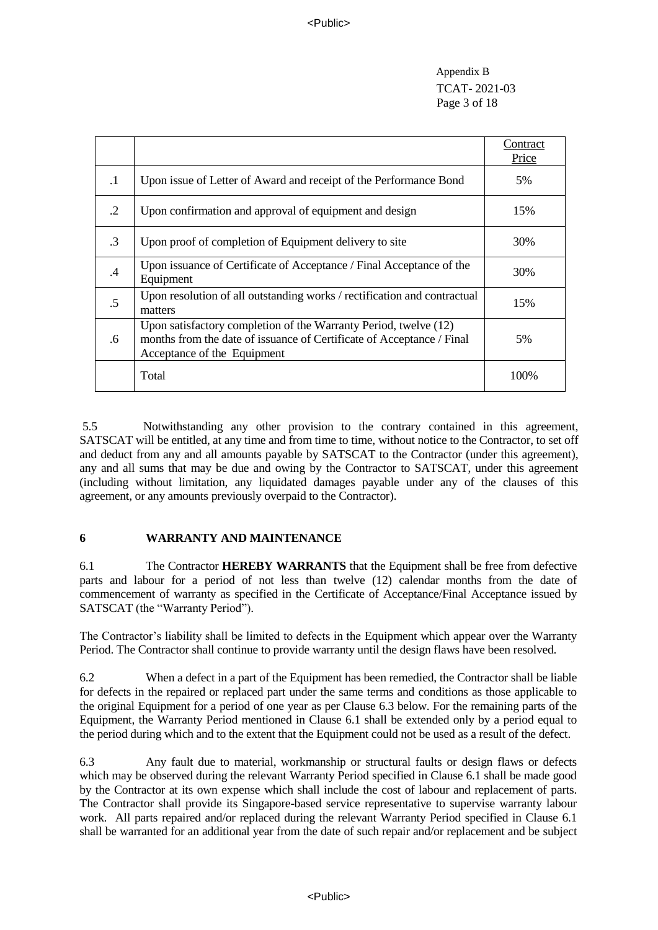Appendix B TCAT- 2021-03 Page 3 of 18

|           |                                                                                                                                                                          | Contract<br>Price |
|-----------|--------------------------------------------------------------------------------------------------------------------------------------------------------------------------|-------------------|
| $\cdot$ 1 | Upon issue of Letter of Award and receipt of the Performance Bond                                                                                                        | 5%                |
| $\cdot$ 2 | Upon confirmation and approval of equipment and design                                                                                                                   | 15%               |
| $\cdot$ 3 | Upon proof of completion of Equipment delivery to site                                                                                                                   | 30%               |
| .4        | Upon issuance of Certificate of Acceptance / Final Acceptance of the<br>Equipment                                                                                        | 30%               |
| $.5\,$    | Upon resolution of all outstanding works / rectification and contractual<br>matters                                                                                      | 15%               |
| .6        | Upon satisfactory completion of the Warranty Period, twelve (12)<br>months from the date of issuance of Certificate of Acceptance / Final<br>Acceptance of the Equipment | 5%                |
|           | Total                                                                                                                                                                    | 100%              |

5.5 Notwithstanding any other provision to the contrary contained in this agreement, SATSCAT will be entitled, at any time and from time to time, without notice to the Contractor, to set off and deduct from any and all amounts payable by SATSCAT to the Contractor (under this agreement), any and all sums that may be due and owing by the Contractor to SATSCAT, under this agreement (including without limitation, any liquidated damages payable under any of the clauses of this agreement, or any amounts previously overpaid to the Contractor).

# **6 WARRANTY AND MAINTENANCE**

6.1 The Contractor **HEREBY WARRANTS** that the Equipment shall be free from defective parts and labour for a period of not less than twelve (12) calendar months from the date of commencement of warranty as specified in the Certificate of Acceptance/Final Acceptance issued by SATSCAT (the "Warranty Period").

The Contractor's liability shall be limited to defects in the Equipment which appear over the Warranty Period. The Contractor shall continue to provide warranty until the design flaws have been resolved.

6.2 When a defect in a part of the Equipment has been remedied, the Contractor shall be liable for defects in the repaired or replaced part under the same terms and conditions as those applicable to the original Equipment for a period of one year as per Clause 6.3 below. For the remaining parts of the Equipment, the Warranty Period mentioned in Clause 6.1 shall be extended only by a period equal to the period during which and to the extent that the Equipment could not be used as a result of the defect.

6.3 Any fault due to material, workmanship or structural faults or design flaws or defects which may be observed during the relevant Warranty Period specified in Clause 6.1 shall be made good by the Contractor at its own expense which shall include the cost of labour and replacement of parts. The Contractor shall provide its Singapore-based service representative to supervise warranty labour work. All parts repaired and/or replaced during the relevant Warranty Period specified in Clause 6.1 shall be warranted for an additional year from the date of such repair and/or replacement and be subject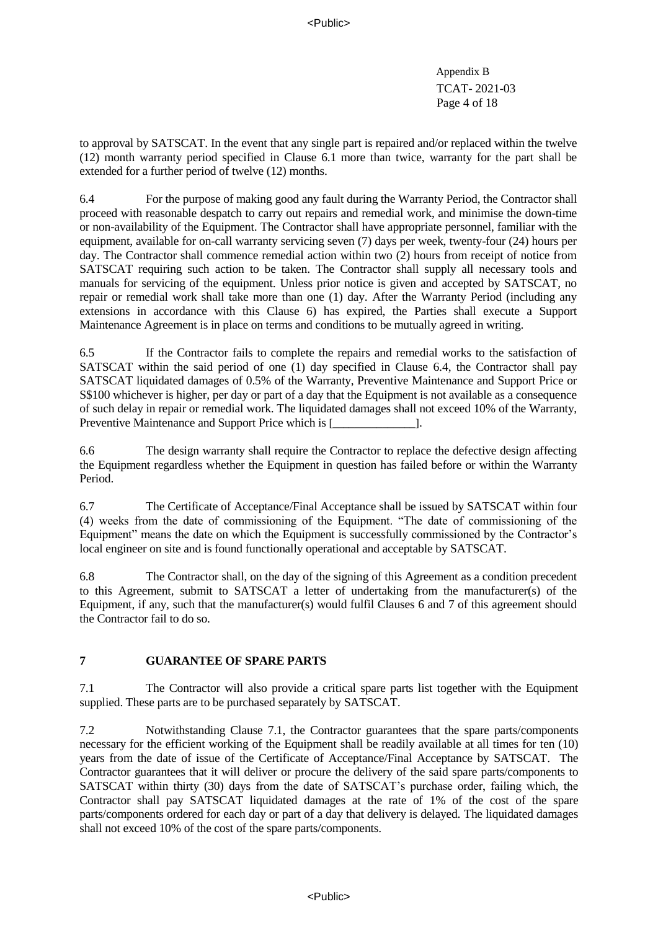Appendix B TCAT- 2021-03 Page 4 of 18

to approval by SATSCAT. In the event that any single part is repaired and/or replaced within the twelve (12) month warranty period specified in Clause 6.1 more than twice, warranty for the part shall be extended for a further period of twelve (12) months.

6.4 For the purpose of making good any fault during the Warranty Period, the Contractor shall proceed with reasonable despatch to carry out repairs and remedial work, and minimise the down-time or non-availability of the Equipment. The Contractor shall have appropriate personnel, familiar with the equipment, available for on-call warranty servicing seven (7) days per week, twenty-four (24) hours per day. The Contractor shall commence remedial action within two (2) hours from receipt of notice from SATSCAT requiring such action to be taken. The Contractor shall supply all necessary tools and manuals for servicing of the equipment. Unless prior notice is given and accepted by SATSCAT, no repair or remedial work shall take more than one (1) day. After the Warranty Period (including any extensions in accordance with this Clause 6) has expired, the Parties shall execute a Support Maintenance Agreement is in place on terms and conditions to be mutually agreed in writing.

6.5 If the Contractor fails to complete the repairs and remedial works to the satisfaction of SATSCAT within the said period of one (1) day specified in Clause 6.4, the Contractor shall pay SATSCAT liquidated damages of 0.5% of the Warranty, Preventive Maintenance and Support Price or S\$100 whichever is higher, per day or part of a day that the Equipment is not available as a consequence of such delay in repair or remedial work. The liquidated damages shall not exceed 10% of the Warranty, Preventive Maintenance and Support Price which is [\_\_\_\_\_\_\_\_\_\_\_\_\_\_\_\_\_\_\_\_\_\_\_\_\_\_\_\_\_\_

6.6 The design warranty shall require the Contractor to replace the defective design affecting the Equipment regardless whether the Equipment in question has failed before or within the Warranty Period.

6.7 The Certificate of Acceptance/Final Acceptance shall be issued by SATSCAT within four (4) weeks from the date of commissioning of the Equipment. "The date of commissioning of the Equipment" means the date on which the Equipment is successfully commissioned by the Contractor's local engineer on site and is found functionally operational and acceptable by SATSCAT.

6.8 The Contractor shall, on the day of the signing of this Agreement as a condition precedent to this Agreement, submit to SATSCAT a letter of undertaking from the manufacturer(s) of the Equipment, if any, such that the manufacturer(s) would fulfil Clauses 6 and 7 of this agreement should the Contractor fail to do so.

# **7 GUARANTEE OF SPARE PARTS**

7.1 The Contractor will also provide a critical spare parts list together with the Equipment supplied. These parts are to be purchased separately by SATSCAT.

7.2 Notwithstanding Clause 7.1, the Contractor guarantees that the spare parts/components necessary for the efficient working of the Equipment shall be readily available at all times for ten (10) years from the date of issue of the Certificate of Acceptance/Final Acceptance by SATSCAT. The Contractor guarantees that it will deliver or procure the delivery of the said spare parts/components to SATSCAT within thirty (30) days from the date of SATSCAT's purchase order, failing which, the Contractor shall pay SATSCAT liquidated damages at the rate of 1% of the cost of the spare parts/components ordered for each day or part of a day that delivery is delayed. The liquidated damages shall not exceed 10% of the cost of the spare parts/components.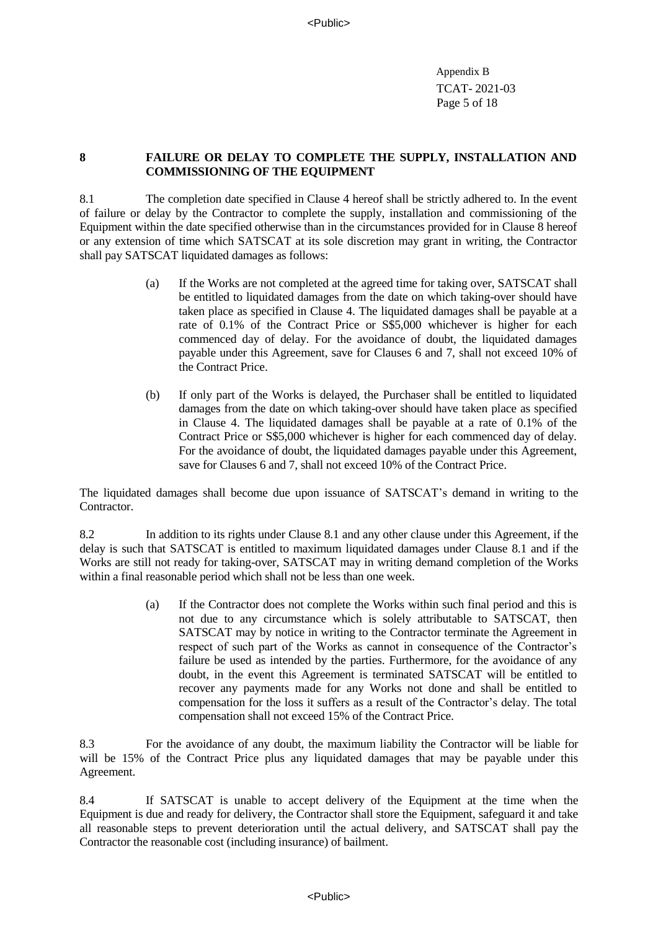Appendix B TCAT- 2021-03 Page 5 of 18

## **8 FAILURE OR DELAY TO COMPLETE THE SUPPLY, INSTALLATION AND COMMISSIONING OF THE EQUIPMENT**

8.1 The completion date specified in Clause 4 hereof shall be strictly adhered to. In the event of failure or delay by the Contractor to complete the supply, installation and commissioning of the Equipment within the date specified otherwise than in the circumstances provided for in Clause 8 hereof or any extension of time which SATSCAT at its sole discretion may grant in writing, the Contractor shall pay SATSCAT liquidated damages as follows:

- (a) If the Works are not completed at the agreed time for taking over, SATSCAT shall be entitled to liquidated damages from the date on which taking-over should have taken place as specified in Clause 4. The liquidated damages shall be payable at a rate of 0.1% of the Contract Price or  $S\$ 5,000 whichever is higher for each commenced day of delay. For the avoidance of doubt, the liquidated damages payable under this Agreement, save for Clauses 6 and 7, shall not exceed 10% of the Contract Price.
- (b) If only part of the Works is delayed, the Purchaser shall be entitled to liquidated damages from the date on which taking-over should have taken place as specified in Clause 4. The liquidated damages shall be payable at a rate of 0.1% of the Contract Price or S\$5,000 whichever is higher for each commenced day of delay. For the avoidance of doubt, the liquidated damages payable under this Agreement, save for Clauses 6 and 7, shall not exceed 10% of the Contract Price.

The liquidated damages shall become due upon issuance of SATSCAT's demand in writing to the Contractor.

8.2 In addition to its rights under Clause 8.1 and any other clause under this Agreement, if the delay is such that SATSCAT is entitled to maximum liquidated damages under Clause 8.1 and if the Works are still not ready for taking-over, SATSCAT may in writing demand completion of the Works within a final reasonable period which shall not be less than one week.

> (a) If the Contractor does not complete the Works within such final period and this is not due to any circumstance which is solely attributable to SATSCAT, then SATSCAT may by notice in writing to the Contractor terminate the Agreement in respect of such part of the Works as cannot in consequence of the Contractor's failure be used as intended by the parties. Furthermore, for the avoidance of any doubt, in the event this Agreement is terminated SATSCAT will be entitled to recover any payments made for any Works not done and shall be entitled to compensation for the loss it suffers as a result of the Contractor's delay. The total compensation shall not exceed 15% of the Contract Price.

8.3 For the avoidance of any doubt, the maximum liability the Contractor will be liable for will be 15% of the Contract Price plus any liquidated damages that may be payable under this Agreement.

8.4 If SATSCAT is unable to accept delivery of the Equipment at the time when the Equipment is due and ready for delivery, the Contractor shall store the Equipment, safeguard it and take all reasonable steps to prevent deterioration until the actual delivery, and SATSCAT shall pay the Contractor the reasonable cost (including insurance) of bailment.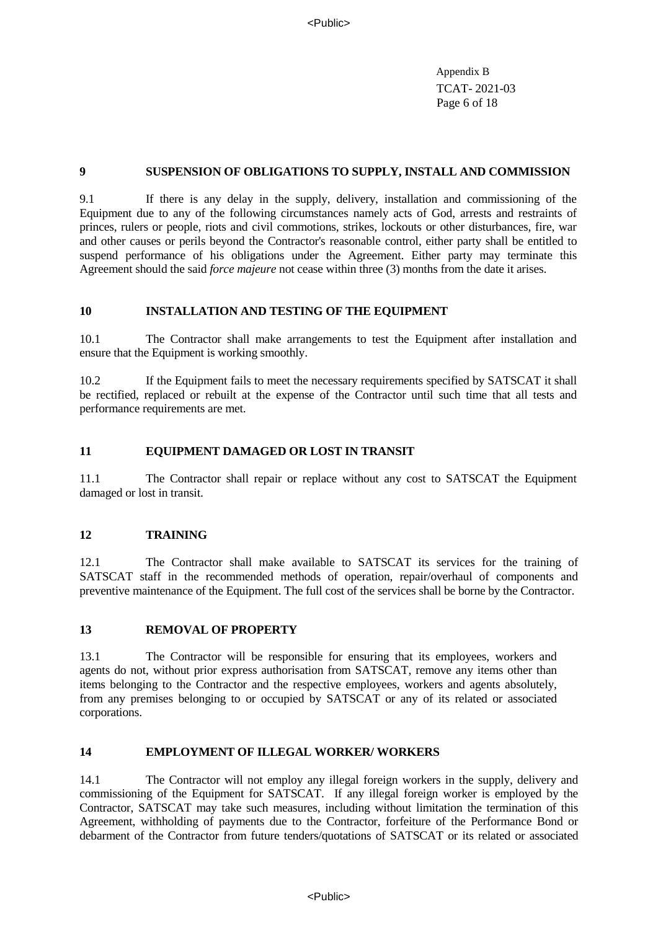Appendix B TCAT- 2021-03 Page 6 of 18

## **9 SUSPENSION OF OBLIGATIONS TO SUPPLY, INSTALL AND COMMISSION**

9.1 If there is any delay in the supply, delivery, installation and commissioning of the Equipment due to any of the following circumstances namely acts of God, arrests and restraints of princes, rulers or people, riots and civil commotions, strikes, lockouts or other disturbances, fire, war and other causes or perils beyond the Contractor's reasonable control, either party shall be entitled to suspend performance of his obligations under the Agreement. Either party may terminate this Agreement should the said *force majeure* not cease within three (3) months from the date it arises.

## **10 INSTALLATION AND TESTING OF THE EQUIPMENT**

10.1 The Contractor shall make arrangements to test the Equipment after installation and ensure that the Equipment is working smoothly.

10.2 If the Equipment fails to meet the necessary requirements specified by SATSCAT it shall be rectified, replaced or rebuilt at the expense of the Contractor until such time that all tests and performance requirements are met.

## **11 EQUIPMENT DAMAGED OR LOST IN TRANSIT**

11.1 The Contractor shall repair or replace without any cost to SATSCAT the Equipment damaged or lost in transit.

### **12 TRAINING**

12.1 The Contractor shall make available to SATSCAT its services for the training of SATSCAT staff in the recommended methods of operation, repair/overhaul of components and preventive maintenance of the Equipment. The full cost of the services shall be borne by the Contractor.

### **13 REMOVAL OF PROPERTY**

13.1 The Contractor will be responsible for ensuring that its employees, workers and agents do not, without prior express authorisation from SATSCAT, remove any items other than items belonging to the Contractor and the respective employees, workers and agents absolutely, from any premises belonging to or occupied by SATSCAT or any of its related or associated corporations.

### **14 EMPLOYMENT OF ILLEGAL WORKER/ WORKERS**

14.1 The Contractor will not employ any illegal foreign workers in the supply, delivery and commissioning of the Equipment for SATSCAT. If any illegal foreign worker is employed by the Contractor, SATSCAT may take such measures, including without limitation the termination of this Agreement, withholding of payments due to the Contractor, forfeiture of the Performance Bond or debarment of the Contractor from future tenders/quotations of SATSCAT or its related or associated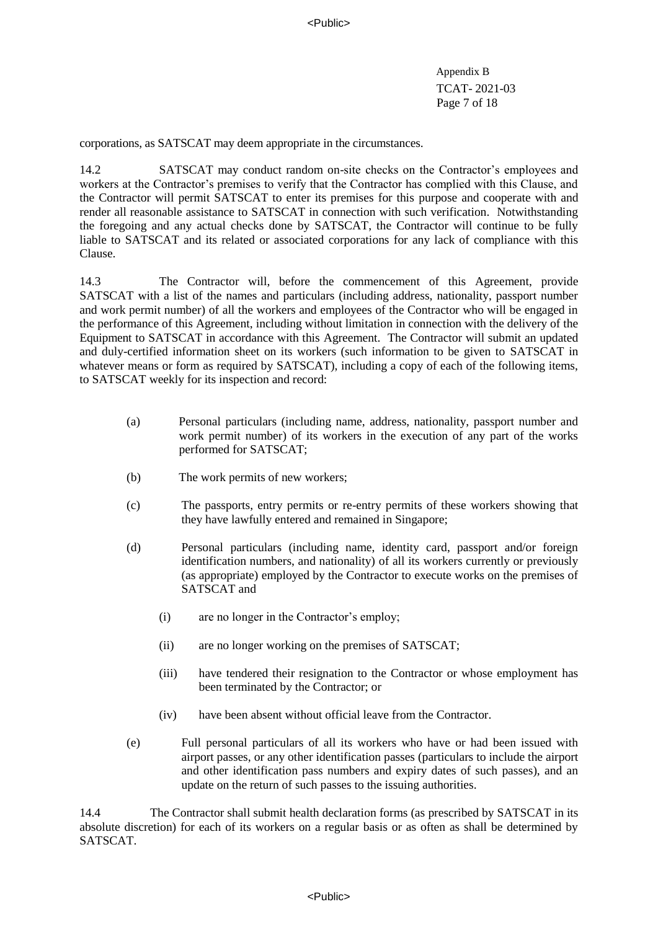Appendix B TCAT- 2021-03 Page 7 of 18

corporations, as SATSCAT may deem appropriate in the circumstances.

14.2 SATSCAT may conduct random on-site checks on the Contractor's employees and workers at the Contractor's premises to verify that the Contractor has complied with this Clause, and the Contractor will permit SATSCAT to enter its premises for this purpose and cooperate with and render all reasonable assistance to SATSCAT in connection with such verification. Notwithstanding the foregoing and any actual checks done by SATSCAT, the Contractor will continue to be fully liable to SATSCAT and its related or associated corporations for any lack of compliance with this Clause.

14.3 The Contractor will, before the commencement of this Agreement, provide SATSCAT with a list of the names and particulars (including address, nationality, passport number and work permit number) of all the workers and employees of the Contractor who will be engaged in the performance of this Agreement, including without limitation in connection with the delivery of the Equipment to SATSCAT in accordance with this Agreement. The Contractor will submit an updated and duly-certified information sheet on its workers (such information to be given to SATSCAT in whatever means or form as required by SATSCAT), including a copy of each of the following items, to SATSCAT weekly for its inspection and record:

- (a) Personal particulars (including name, address, nationality, passport number and work permit number) of its workers in the execution of any part of the works performed for SATSCAT;
- (b) The work permits of new workers;
- (c) The passports, entry permits or re-entry permits of these workers showing that they have lawfully entered and remained in Singapore;
- (d) Personal particulars (including name, identity card, passport and/or foreign identification numbers, and nationality) of all its workers currently or previously (as appropriate) employed by the Contractor to execute works on the premises of SATSCAT and
	- (i) are no longer in the Contractor's employ;
	- (ii) are no longer working on the premises of SATSCAT;
	- (iii) have tendered their resignation to the Contractor or whose employment has been terminated by the Contractor; or
	- (iv) have been absent without official leave from the Contractor.
- (e) Full personal particulars of all its workers who have or had been issued with airport passes, or any other identification passes (particulars to include the airport and other identification pass numbers and expiry dates of such passes), and an update on the return of such passes to the issuing authorities.

14.4 The Contractor shall submit health declaration forms (as prescribed by SATSCAT in its absolute discretion) for each of its workers on a regular basis or as often as shall be determined by SATSCAT.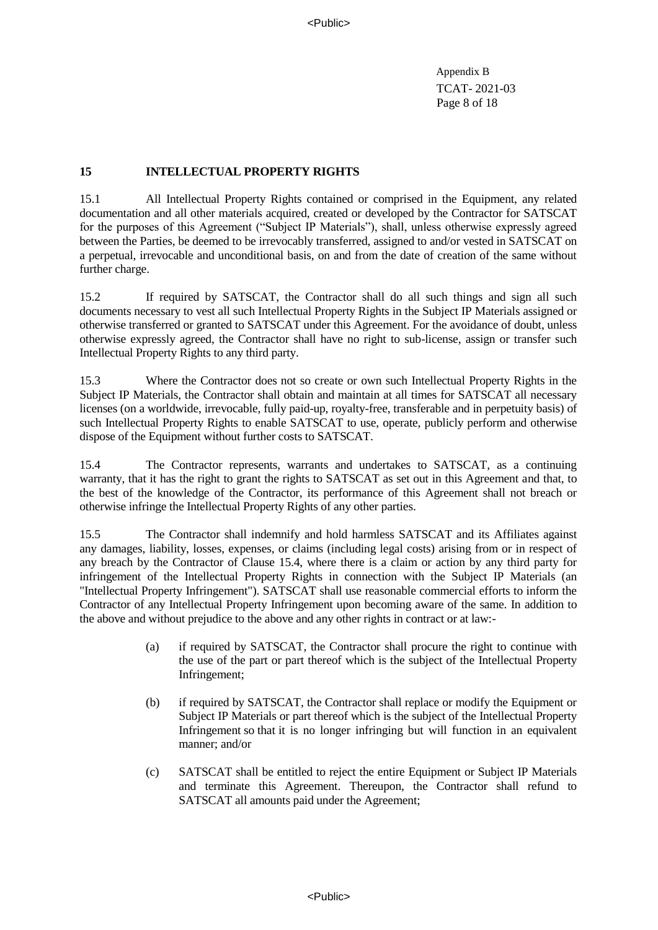Appendix B TCAT- 2021-03 Page 8 of 18

## **15 INTELLECTUAL PROPERTY RIGHTS**

15.1 All Intellectual Property Rights contained or comprised in the Equipment, any related documentation and all other materials acquired, created or developed by the Contractor for SATSCAT for the purposes of this Agreement ("Subject IP Materials"), shall, unless otherwise expressly agreed between the Parties, be deemed to be irrevocably transferred, assigned to and/or vested in SATSCAT on a perpetual, irrevocable and unconditional basis, on and from the date of creation of the same without further charge.

15.2 If required by SATSCAT, the Contractor shall do all such things and sign all such documents necessary to vest all such Intellectual Property Rights in the Subject IP Materials assigned or otherwise transferred or granted to SATSCAT under this Agreement. For the avoidance of doubt, unless otherwise expressly agreed, the Contractor shall have no right to sub-license, assign or transfer such Intellectual Property Rights to any third party.

15.3 Where the Contractor does not so create or own such Intellectual Property Rights in the Subject IP Materials, the Contractor shall obtain and maintain at all times for SATSCAT all necessary licenses (on a worldwide, irrevocable, fully paid-up, royalty-free, transferable and in perpetuity basis) of such Intellectual Property Rights to enable SATSCAT to use, operate, publicly perform and otherwise dispose of the Equipment without further costs to SATSCAT.

15.4 The Contractor represents, warrants and undertakes to SATSCAT, as a continuing warranty, that it has the right to grant the rights to SATSCAT as set out in this Agreement and that, to the best of the knowledge of the Contractor, its performance of this Agreement shall not breach or otherwise infringe the Intellectual Property Rights of any other parties.

15.5 The Contractor shall indemnify and hold harmless SATSCAT and its Affiliates against any damages, liability, losses, expenses, or claims (including legal costs) arising from or in respect of any breach by the Contractor of Clause 15.4, where there is a claim or action by any third party for infringement of the Intellectual Property Rights in connection with the Subject IP Materials (an "Intellectual Property Infringement"). SATSCAT shall use reasonable commercial efforts to inform the Contractor of any Intellectual Property Infringement upon becoming aware of the same. In addition to the above and without prejudice to the above and any other rights in contract or at law:-

- (a) if required by SATSCAT, the Contractor shall procure the right to continue with the use of the part or part thereof which is the subject of the Intellectual Property Infringement;
- (b) if required by SATSCAT, the Contractor shall replace or modify the Equipment or Subject IP Materials or part thereof which is the subject of the Intellectual Property Infringement so that it is no longer infringing but will function in an equivalent manner; and/or
- (c) SATSCAT shall be entitled to reject the entire Equipment or Subject IP Materials and terminate this Agreement. Thereupon, the Contractor shall refund to SATSCAT all amounts paid under the Agreement;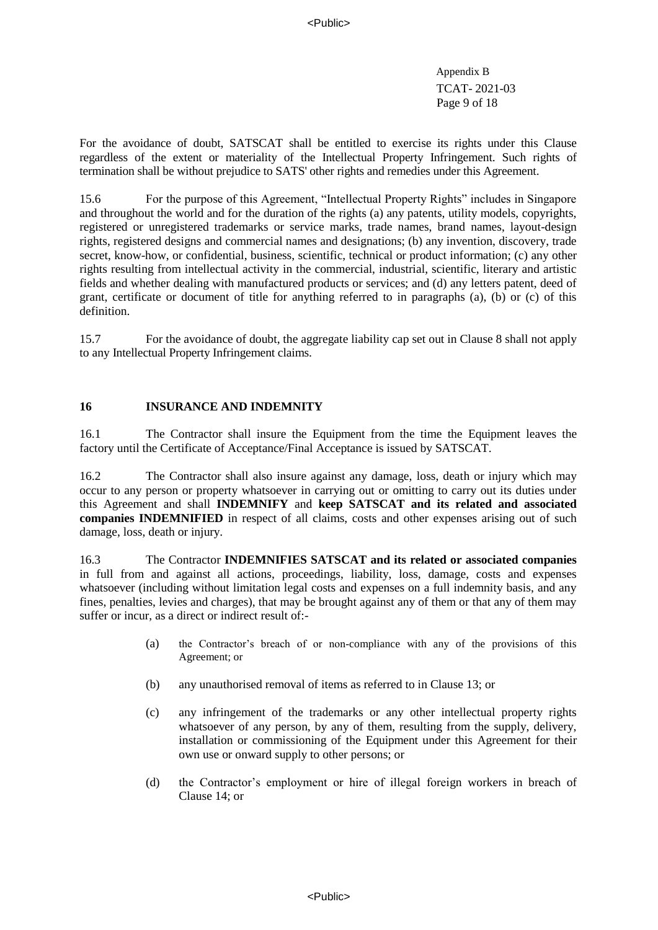Appendix B TCAT- 2021-03 Page 9 of 18

For the avoidance of doubt, SATSCAT shall be entitled to exercise its rights under this Clause regardless of the extent or materiality of the Intellectual Property Infringement. Such rights of termination shall be without prejudice to SATS' other rights and remedies under this Agreement.

15.6 For the purpose of this Agreement, "Intellectual Property Rights" includes in Singapore and throughout the world and for the duration of the rights (a) any patents, utility models, copyrights, registered or unregistered trademarks or service marks, trade names, brand names, layout-design rights, registered designs and commercial names and designations; (b) any invention, discovery, trade secret, know-how, or confidential, business, scientific, technical or product information; (c) any other rights resulting from intellectual activity in the commercial, industrial, scientific, literary and artistic fields and whether dealing with manufactured products or services; and (d) any letters patent, deed of grant, certificate or document of title for anything referred to in paragraphs (a), (b) or (c) of this definition.

15.7 For the avoidance of doubt, the aggregate liability cap set out in Clause 8 shall not apply to any Intellectual Property Infringement claims.

### **16 INSURANCE AND INDEMNITY**

16.1 The Contractor shall insure the Equipment from the time the Equipment leaves the factory until the Certificate of Acceptance/Final Acceptance is issued by SATSCAT.

16.2 The Contractor shall also insure against any damage, loss, death or injury which may occur to any person or property whatsoever in carrying out or omitting to carry out its duties under this Agreement and shall **INDEMNIFY** and **keep SATSCAT and its related and associated companies INDEMNIFIED** in respect of all claims, costs and other expenses arising out of such damage, loss, death or injury.

16.3 The Contractor **INDEMNIFIES SATSCAT and its related or associated companies** in full from and against all actions, proceedings, liability, loss, damage, costs and expenses whatsoever (including without limitation legal costs and expenses on a full indemnity basis, and any fines, penalties, levies and charges), that may be brought against any of them or that any of them may suffer or incur, as a direct or indirect result of:-

- (a) the Contractor's breach of or non-compliance with any of the provisions of this Agreement; or
- (b) any unauthorised removal of items as referred to in Clause 13; or
- (c) any infringement of the trademarks or any other intellectual property rights whatsoever of any person, by any of them, resulting from the supply, delivery, installation or commissioning of the Equipment under this Agreement for their own use or onward supply to other persons; or
- (d) the Contractor's employment or hire of illegal foreign workers in breach of Clause 14; or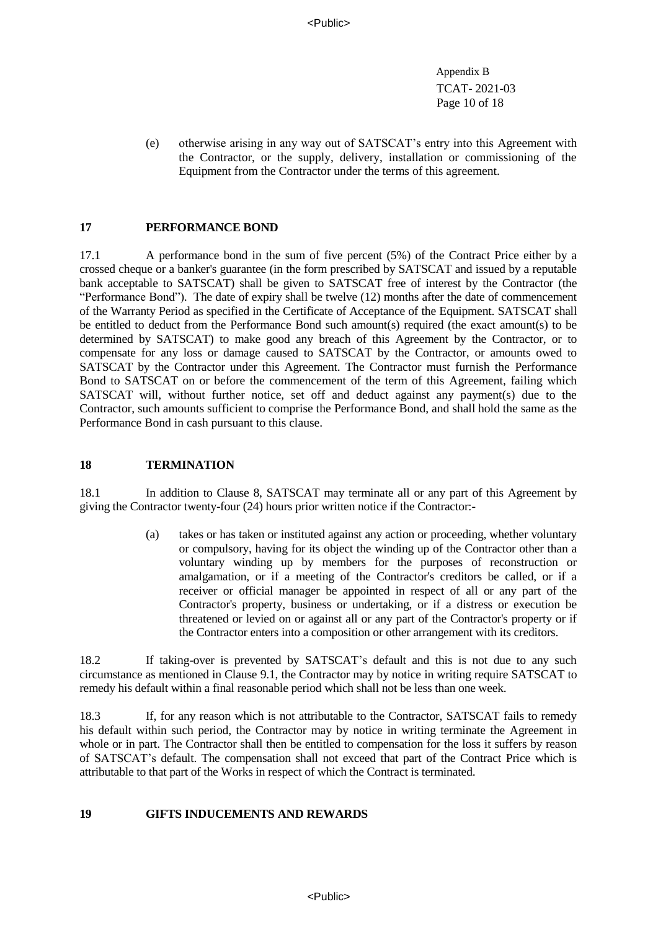Appendix B TCAT- 2021-03 Page 10 of 18

(e) otherwise arising in any way out of SATSCAT's entry into this Agreement with the Contractor, or the supply, delivery, installation or commissioning of the Equipment from the Contractor under the terms of this agreement.

### **17 PERFORMANCE BOND**

17.1 A performance bond in the sum of five percent (5%) of the Contract Price either by a crossed cheque or a banker's guarantee (in the form prescribed by SATSCAT and issued by a reputable bank acceptable to SATSCAT) shall be given to SATSCAT free of interest by the Contractor (the "Performance Bond"). The date of expiry shall be twelve (12) months after the date of commencement of the Warranty Period as specified in the Certificate of Acceptance of the Equipment. SATSCAT shall be entitled to deduct from the Performance Bond such amount(s) required (the exact amount(s) to be determined by SATSCAT) to make good any breach of this Agreement by the Contractor, or to compensate for any loss or damage caused to SATSCAT by the Contractor, or amounts owed to SATSCAT by the Contractor under this Agreement. The Contractor must furnish the Performance Bond to SATSCAT on or before the commencement of the term of this Agreement, failing which SATSCAT will, without further notice, set off and deduct against any payment(s) due to the Contractor, such amounts sufficient to comprise the Performance Bond, and shall hold the same as the Performance Bond in cash pursuant to this clause.

#### **18 TERMINATION**

18.1 In addition to Clause 8, SATSCAT may terminate all or any part of this Agreement by giving the Contractor twenty-four (24) hours prior written notice if the Contractor:-

> (a) takes or has taken or instituted against any action or proceeding, whether voluntary or compulsory, having for its object the winding up of the Contractor other than a voluntary winding up by members for the purposes of reconstruction or amalgamation, or if a meeting of the Contractor's creditors be called, or if a receiver or official manager be appointed in respect of all or any part of the Contractor's property, business or undertaking, or if a distress or execution be threatened or levied on or against all or any part of the Contractor's property or if the Contractor enters into a composition or other arrangement with its creditors.

18.2 If taking-over is prevented by SATSCAT's default and this is not due to any such circumstance as mentioned in Clause 9.1, the Contractor may by notice in writing require SATSCAT to remedy his default within a final reasonable period which shall not be less than one week.

18.3 If, for any reason which is not attributable to the Contractor, SATSCAT fails to remedy his default within such period, the Contractor may by notice in writing terminate the Agreement in whole or in part. The Contractor shall then be entitled to compensation for the loss it suffers by reason of SATSCAT's default. The compensation shall not exceed that part of the Contract Price which is attributable to that part of the Works in respect of which the Contract is terminated.

#### **19 GIFTS INDUCEMENTS AND REWARDS**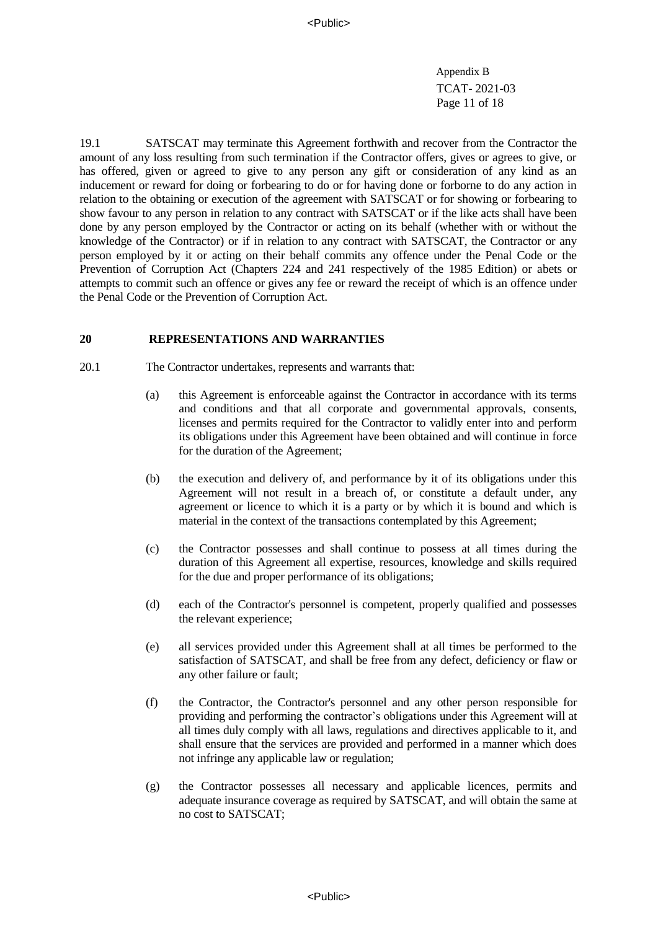Appendix B TCAT- 2021-03 Page 11 of 18

19.1 SATSCAT may terminate this Agreement forthwith and recover from the Contractor the amount of any loss resulting from such termination if the Contractor offers, gives or agrees to give, or has offered, given or agreed to give to any person any gift or consideration of any kind as an inducement or reward for doing or forbearing to do or for having done or forborne to do any action in relation to the obtaining or execution of the agreement with SATSCAT or for showing or forbearing to show favour to any person in relation to any contract with SATSCAT or if the like acts shall have been done by any person employed by the Contractor or acting on its behalf (whether with or without the knowledge of the Contractor) or if in relation to any contract with SATSCAT, the Contractor or any person employed by it or acting on their behalf commits any offence under the Penal Code or the Prevention of Corruption Act (Chapters 224 and 241 respectively of the 1985 Edition) or abets or attempts to commit such an offence or gives any fee or reward the receipt of which is an offence under the Penal Code or the Prevention of Corruption Act.

#### **20 REPRESENTATIONS AND WARRANTIES**

- 20.1 The Contractor undertakes, represents and warrants that:
	- (a) this Agreement is enforceable against the Contractor in accordance with its terms and conditions and that all corporate and governmental approvals, consents, licenses and permits required for the Contractor to validly enter into and perform its obligations under this Agreement have been obtained and will continue in force for the duration of the Agreement;
	- (b) the execution and delivery of, and performance by it of its obligations under this Agreement will not result in a breach of, or constitute a default under, any agreement or licence to which it is a party or by which it is bound and which is material in the context of the transactions contemplated by this Agreement;
	- (c) the Contractor possesses and shall continue to possess at all times during the duration of this Agreement all expertise, resources, knowledge and skills required for the due and proper performance of its obligations;
	- (d) each of the Contractor's personnel is competent, properly qualified and possesses the relevant experience;
	- (e) all services provided under this Agreement shall at all times be performed to the satisfaction of SATSCAT, and shall be free from any defect, deficiency or flaw or any other failure or fault;
	- (f) the Contractor, the Contractor's personnel and any other person responsible for providing and performing the contractor's obligations under this Agreement will at all times duly comply with all laws, regulations and directives applicable to it, and shall ensure that the services are provided and performed in a manner which does not infringe any applicable law or regulation;
	- (g) the Contractor possesses all necessary and applicable licences, permits and adequate insurance coverage as required by SATSCAT, and will obtain the same at no cost to SATSCAT;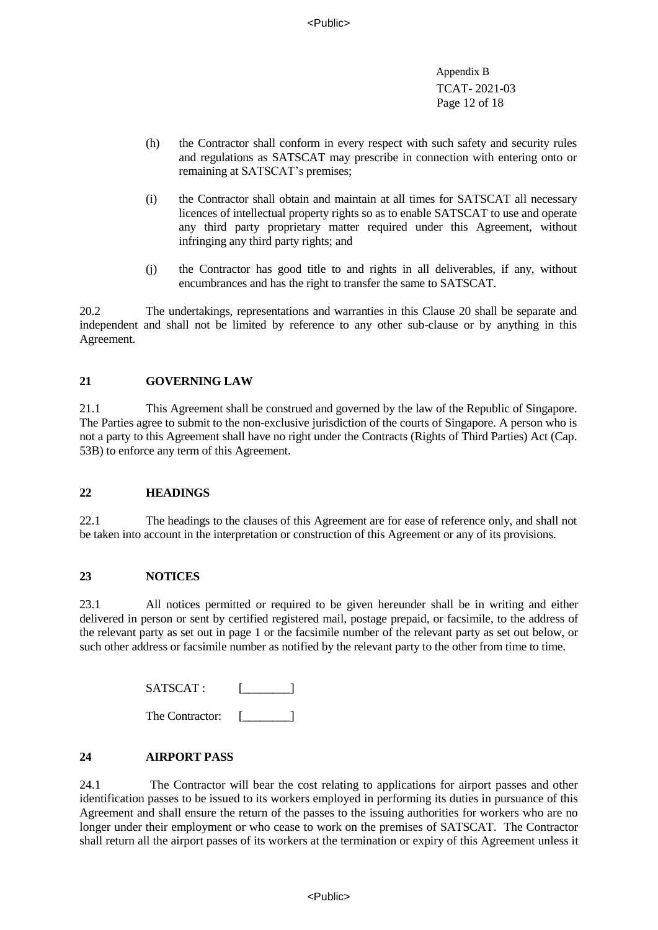Appendix B TCAT- 2021-03 Page 12 of 18

- (h) the Contractor shall conform in every respect with such safety and security rules and regulations as SATSCAT may prescribe in connection with entering onto or remaining at SATSCAT's premises;
- (i) the Contractor shall obtain and maintain at all times for SATSCAT all necessary licences of intellectual property rights so as to enable SATSCAT to use and operate any third party proprietary matter required under this Agreement, without infringing any third party rights; and
- (j) the Contractor has good title to and rights in all deliverables, if any, without encumbrances and has the right to transfer the same to SATSCAT.

20.2 The undertakings, representations and warranties in this Clause 20 shall be separate and independent and shall not be limited by reference to any other sub-clause or by anything in this Agreement.

# **21 GOVERNING LAW**

21.1 This Agreement shall be construed and governed by the law of the Republic of Singapore. The Parties agree to submit to the non-exclusive jurisdiction of the courts of Singapore. A person who is not a party to this Agreement shall have no right under the Contracts (Rights of Third Parties) Act (Cap. 53B) to enforce any term of this Agreement.

# **22 HEADINGS**

22.1 The headings to the clauses of this Agreement are for ease of reference only, and shall not be taken into account in the interpretation or construction of this Agreement or any of its provisions.

# **23 NOTICES**

23.1 All notices permitted or required to be given hereunder shall be in writing and either delivered in person or sent by certified registered mail, postage prepaid, or facsimile, to the address of the relevant party as set out in page 1 or the facsimile number of the relevant party as set out below, or such other address or facsimile number as notified by the relevant party to the other from time to time.

SATSCAT : [\_\_\_\_\_\_\_\_\_]

The Contractor: [**will** 

# **24 AIRPORT PASS**

24.1 The Contractor will bear the cost relating to applications for airport passes and other identification passes to be issued to its workers employed in performing its duties in pursuance of this Agreement and shall ensure the return of the passes to the issuing authorities for workers who are no longer under their employment or who cease to work on the premises of SATSCAT. The Contractor shall return all the airport passes of its workers at the termination or expiry of this Agreement unless it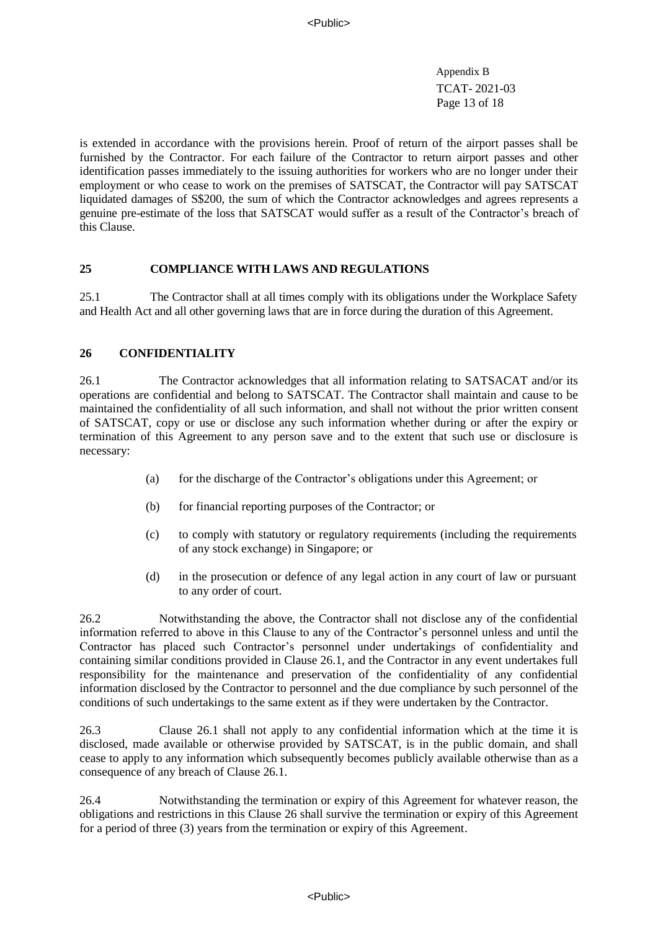Appendix B TCAT- 2021-03 Page 13 of 18

is extended in accordance with the provisions herein. Proof of return of the airport passes shall be furnished by the Contractor. For each failure of the Contractor to return airport passes and other identification passes immediately to the issuing authorities for workers who are no longer under their employment or who cease to work on the premises of SATSCAT, the Contractor will pay SATSCAT liquidated damages of S\$200, the sum of which the Contractor acknowledges and agrees represents a genuine pre-estimate of the loss that SATSCAT would suffer as a result of the Contractor's breach of this Clause.

## **25 COMPLIANCE WITH LAWS AND REGULATIONS**

25.1 The Contractor shall at all times comply with its obligations under the Workplace Safety and Health Act and all other governing laws that are in force during the duration of this Agreement.

## **26 CONFIDENTIALITY**

26.1 The Contractor acknowledges that all information relating to SATSACAT and/or its operations are confidential and belong to SATSCAT. The Contractor shall maintain and cause to be maintained the confidentiality of all such information, and shall not without the prior written consent of SATSCAT, copy or use or disclose any such information whether during or after the expiry or termination of this Agreement to any person save and to the extent that such use or disclosure is necessary:

- (a) for the discharge of the Contractor's obligations under this Agreement; or
- (b) for financial reporting purposes of the Contractor; or
- (c) to comply with statutory or regulatory requirements (including the requirements of any stock exchange) in Singapore; or
- (d) in the prosecution or defence of any legal action in any court of law or pursuant to any order of court.

26.2 Notwithstanding the above, the Contractor shall not disclose any of the confidential information referred to above in this Clause to any of the Contractor's personnel unless and until the Contractor has placed such Contractor's personnel under undertakings of confidentiality and containing similar conditions provided in Clause 26.1, and the Contractor in any event undertakes full responsibility for the maintenance and preservation of the confidentiality of any confidential information disclosed by the Contractor to personnel and the due compliance by such personnel of the conditions of such undertakings to the same extent as if they were undertaken by the Contractor.

26.3 Clause 26.1 shall not apply to any confidential information which at the time it is disclosed, made available or otherwise provided by SATSCAT, is in the public domain, and shall cease to apply to any information which subsequently becomes publicly available otherwise than as a consequence of any breach of Clause 26.1.

26.4 Notwithstanding the termination or expiry of this Agreement for whatever reason, the obligations and restrictions in this Clause 26 shall survive the termination or expiry of this Agreement for a period of three (3) years from the termination or expiry of this Agreement.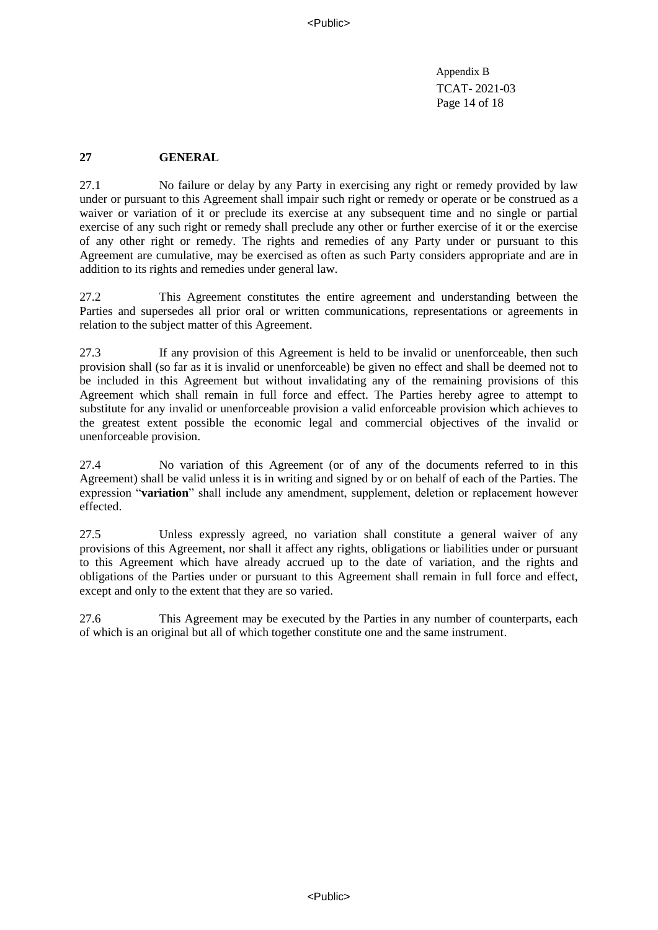Appendix B TCAT- 2021-03 Page 14 of 18

## **27 GENERAL**

27.1 No failure or delay by any Party in exercising any right or remedy provided by law under or pursuant to this Agreement shall impair such right or remedy or operate or be construed as a waiver or variation of it or preclude its exercise at any subsequent time and no single or partial exercise of any such right or remedy shall preclude any other or further exercise of it or the exercise of any other right or remedy. The rights and remedies of any Party under or pursuant to this Agreement are cumulative, may be exercised as often as such Party considers appropriate and are in addition to its rights and remedies under general law.

27.2 This Agreement constitutes the entire agreement and understanding between the Parties and supersedes all prior oral or written communications, representations or agreements in relation to the subject matter of this Agreement.

27.3 If any provision of this Agreement is held to be invalid or unenforceable, then such provision shall (so far as it is invalid or unenforceable) be given no effect and shall be deemed not to be included in this Agreement but without invalidating any of the remaining provisions of this Agreement which shall remain in full force and effect. The Parties hereby agree to attempt to substitute for any invalid or unenforceable provision a valid enforceable provision which achieves to the greatest extent possible the economic legal and commercial objectives of the invalid or unenforceable provision.

27.4 No variation of this Agreement (or of any of the documents referred to in this Agreement) shall be valid unless it is in writing and signed by or on behalf of each of the Parties. The expression "**variation**" shall include any amendment, supplement, deletion or replacement however effected.

27.5 Unless expressly agreed, no variation shall constitute a general waiver of any provisions of this Agreement, nor shall it affect any rights, obligations or liabilities under or pursuant to this Agreement which have already accrued up to the date of variation, and the rights and obligations of the Parties under or pursuant to this Agreement shall remain in full force and effect, except and only to the extent that they are so varied.

27.6 This Agreement may be executed by the Parties in any number of counterparts, each of which is an original but all of which together constitute one and the same instrument.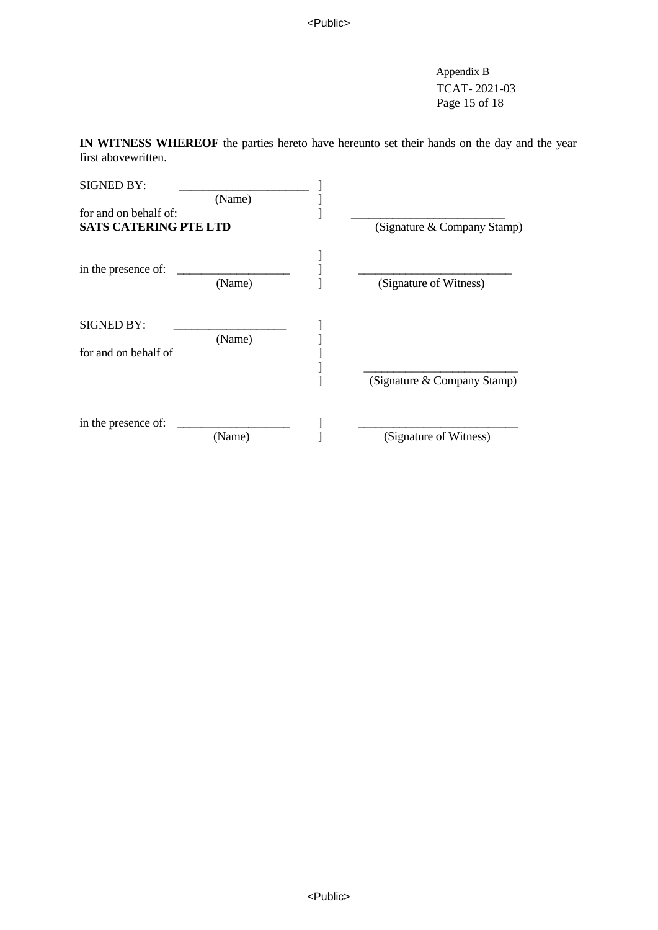Appendix B TCAT- 2021-03 Page 15 of 18

**IN WITNESS WHEREOF** the parties hereto have hereunto set their hands on the day and the year first abovewritten.

| <b>SIGNED BY:</b>            |        |  |                             |  |
|------------------------------|--------|--|-----------------------------|--|
|                              | (Name) |  |                             |  |
| for and on behalf of:        |        |  |                             |  |
| <b>SATS CATERING PTE LTD</b> |        |  | (Signature & Company Stamp) |  |
|                              |        |  |                             |  |
| in the presence of:          | (Name) |  | (Signature of Witness)      |  |
| <b>SIGNED BY:</b>            |        |  |                             |  |
| for and on behalf of         | (Name) |  |                             |  |
|                              |        |  |                             |  |
|                              |        |  | (Signature & Company Stamp) |  |
| in the presence of:          |        |  |                             |  |
|                              | (Name) |  | (Signature of Witness)      |  |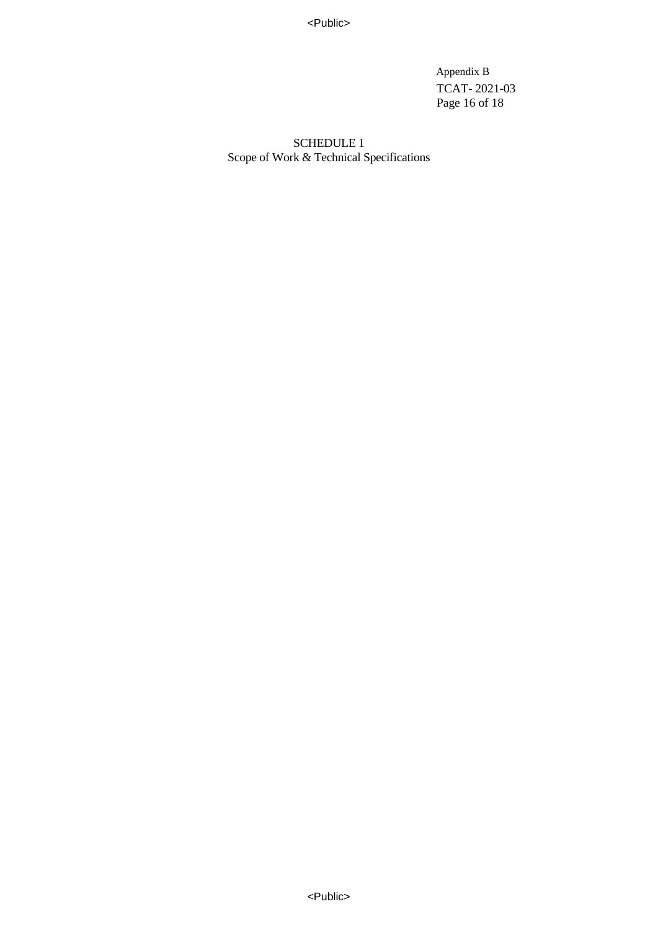<Public>

 Appendix B TCAT- 2021-03 Page 16 of 18

SCHEDULE 1 Scope of Work & Technical Specifications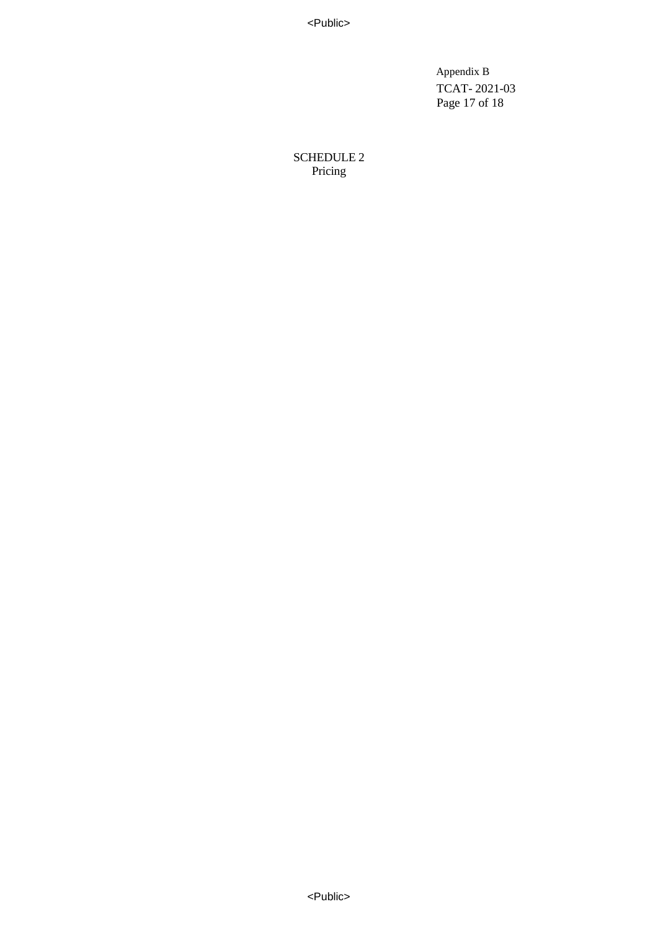<Public>

 Appendix B TCAT- 2021-03 Page 17 of 18

SCHEDULE 2 Pricing